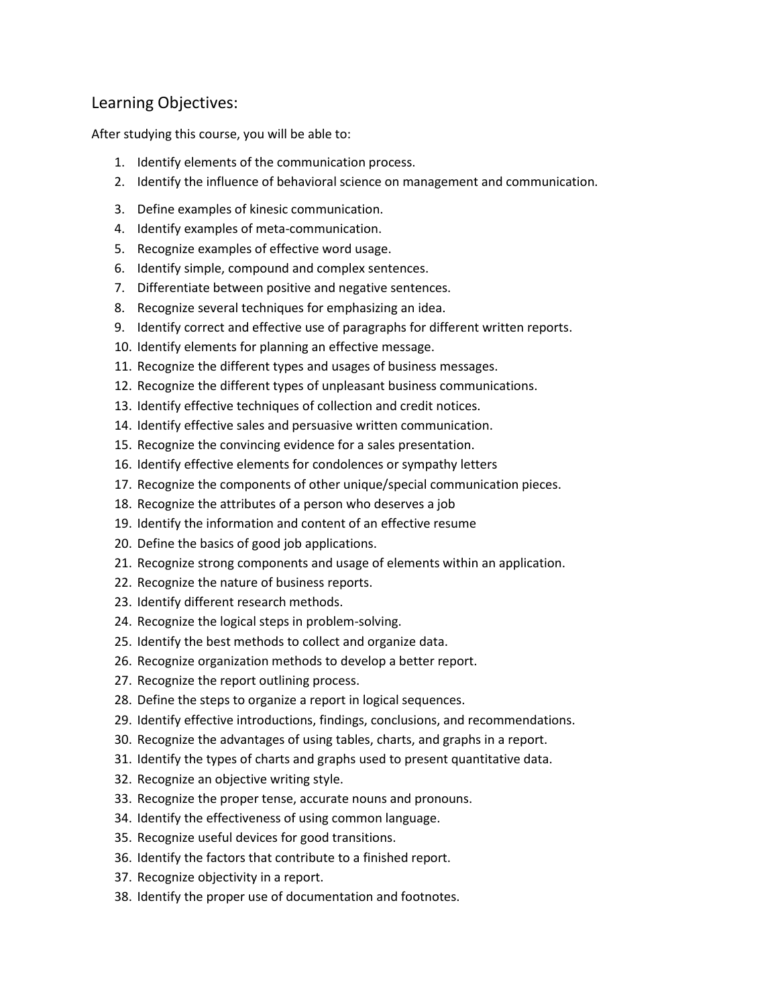## Learning Objectives:

After studying this course, you will be able to:

- 1. Identify elements of the communication process.
- 2. Identify the influence of behavioral science on management and communication.
- 3. Define examples of kinesic communication.
- 4. Identify examples of meta-communication.
- 5. Recognize examples of effective word usage.
- 6. Identify simple, compound and complex sentences.
- 7. Differentiate between positive and negative sentences.
- 8. Recognize several techniques for emphasizing an idea.
- 9. Identify correct and effective use of paragraphs for different written reports.
- 10. Identify elements for planning an effective message.
- 11. Recognize the different types and usages of business messages.
- 12. Recognize the different types of unpleasant business communications.
- 13. Identify effective techniques of collection and credit notices.
- 14. Identify effective sales and persuasive written communication.
- 15. Recognize the convincing evidence for a sales presentation.
- 16. Identify effective elements for condolences or sympathy letters
- 17. Recognize the components of other unique/special communication pieces.
- 18. Recognize the attributes of a person who deserves a job
- 19. Identify the information and content of an effective resume
- 20. Define the basics of good job applications.
- 21. Recognize strong components and usage of elements within an application.
- 22. Recognize the nature of business reports.
- 23. Identify different research methods.
- 24. Recognize the logical steps in problem-solving.
- 25. Identify the best methods to collect and organize data.
- 26. Recognize organization methods to develop a better report.
- 27. Recognize the report outlining process.
- 28. Define the steps to organize a report in logical sequences.
- 29. Identify effective introductions, findings, conclusions, and recommendations.
- 30. Recognize the advantages of using tables, charts, and graphs in a report.
- 31. Identify the types of charts and graphs used to present quantitative data.
- 32. Recognize an objective writing style.
- 33. Recognize the proper tense, accurate nouns and pronouns.
- 34. Identify the effectiveness of using common language.
- 35. Recognize useful devices for good transitions.
- 36. Identify the factors that contribute to a finished report.
- 37. Recognize objectivity in a report.
- 38. Identify the proper use of documentation and footnotes.